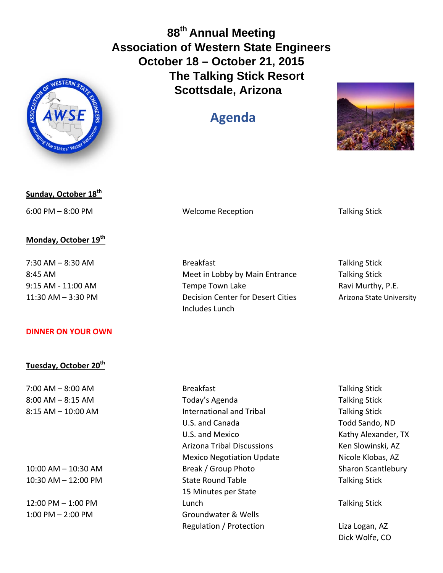**88th Annual Meeting Association of Western State Engineers October 18 – October 21, 2015 The Talking Stick Resort Scottsdale, Arizona** 

## **Agenda**





6:00 PM – 8:00 PM Welcome Reception Talking Stick

## **Monday, October 19th**

## **DINNER ON YOUR OWN**

## **Tuesday, October 20th**

7:30 AM – 8:30 AM Breakfast Talking Stick 8:45 AM Meet in Lobby by Main Entrance Talking Stick 9:15 AM ‐ 11:00 AM Tempe Town Lake Ravi Murthy, P.E. 11:30 AM – 3:30 PM Decision Center for Desert Cities Arizona State University Includes Lunch

7:00 AM – 8:00 AM  $\blacksquare$  Breakfast  $\blacksquare$  Breakfast  $\blacksquare$  Talking Stick 8:00 AM – 8:15 AM **Secure 2:15 AM Today's Agenda** Taggery 3:00 AM – 8:15 AM 8:15 AM – 10:00 AM International and Tribal Talking Stick U.S. and Canada Todd Sando, ND U.S. and Mexico *U.S. and Mexico*  **Example 20** Alexander, TX Arizona Tribal Discussions Ken Slowinski, AZ Mexico Negotiation Update Micole Klobas, AZ 10:00 AM – 10:30 AM Break / Group Photo Sharon Scantlebury 10:30 AM – 12:00 PM State Round Table Talking Stick 15 Minutes per State 12:00 PM – 1:00 PM **1:00 PM 1:00 PM 1:00 PM 1:00 PM 1:00 PM 1:00 PM 1:00 PM** 1:00 PM – 2:00 PM Groundwater & Wells Regulation / Protection Liza Logan, AZ

Dick Wolfe, CO